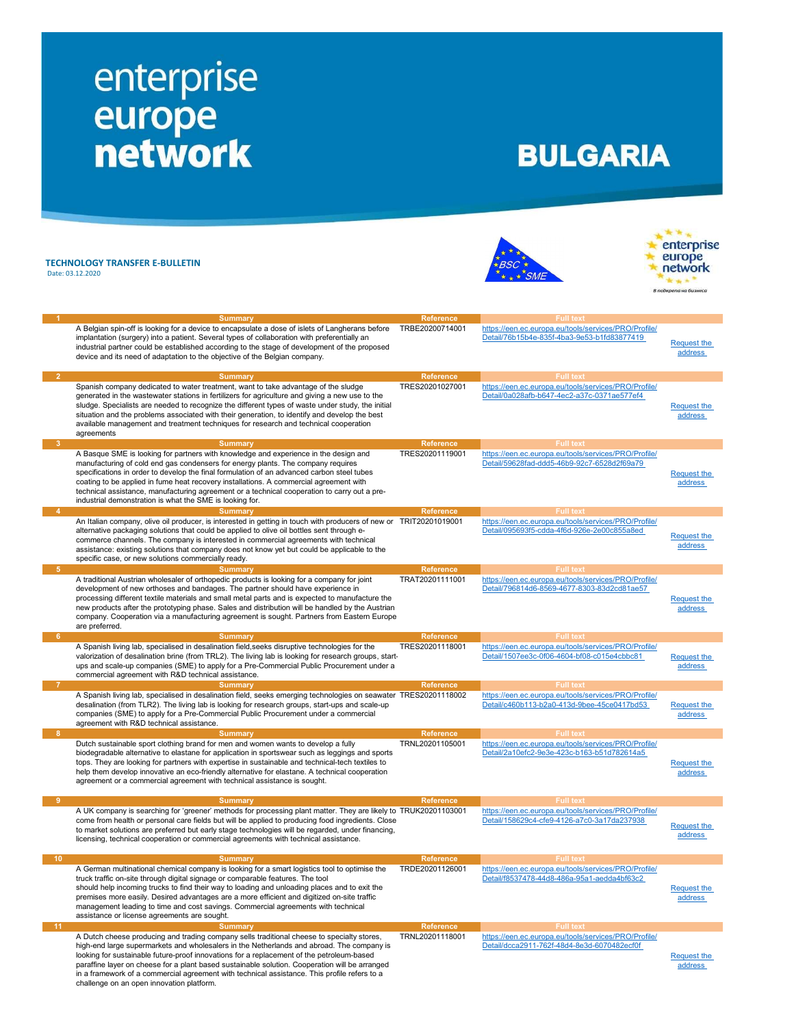## enterprise<br>
europe<br>
network

## **BULGARIA**

TECHNOLOGY TRANSFER E-BULLETIN Date: 03.12.2020

challenge on an open innovation platform.





| $\blacktriangleleft$       | <b>Summary</b>                                                                                                                                                                                 | <b>Reference</b> | <b>Full text</b>                                     |                    |
|----------------------------|------------------------------------------------------------------------------------------------------------------------------------------------------------------------------------------------|------------------|------------------------------------------------------|--------------------|
|                            | A Belgian spin-off is looking for a device to encapsulate a dose of islets of Langherans before                                                                                                | TRBE20200714001  | https://een.ec.europa.eu/tools/services/PRO/Profile/ |                    |
|                            |                                                                                                                                                                                                |                  |                                                      |                    |
|                            | implantation (surgery) into a patient. Several types of collaboration with preferentially an                                                                                                   |                  | Detail/76b15b4e-835f-4ba3-9e53-b1fd83877419          | Request the        |
|                            | industrial partner could be established according to the stage of development of the proposed                                                                                                  |                  |                                                      |                    |
|                            | device and its need of adaptation to the objective of the Belgian company.                                                                                                                     |                  |                                                      | address            |
|                            |                                                                                                                                                                                                |                  |                                                      |                    |
|                            |                                                                                                                                                                                                |                  |                                                      |                    |
| $\overline{2}$             | <b>Summary</b>                                                                                                                                                                                 | Reference        | <b>Full text</b>                                     |                    |
|                            | Spanish company dedicated to water treatment, want to take advantage of the sludge                                                                                                             | TRES20201027001  | https://een.ec.europa.eu/tools/services/PRO/Profile/ |                    |
|                            |                                                                                                                                                                                                |                  |                                                      |                    |
|                            | generated in the wastewater stations in fertilizers for agriculture and giving a new use to the                                                                                                |                  | Detail/0a028afb-b647-4ec2-a37c-0371ae577ef4          |                    |
|                            | sludge. Specialists are needed to recognize the different types of waste under study, the initial                                                                                              |                  |                                                      | <b>Request the</b> |
|                            | situation and the problems associated with their generation, to identify and develop the best                                                                                                  |                  |                                                      | address            |
|                            |                                                                                                                                                                                                |                  |                                                      |                    |
|                            | available management and treatment techniques for research and technical cooperation                                                                                                           |                  |                                                      |                    |
|                            | agreements                                                                                                                                                                                     |                  |                                                      |                    |
| -3                         | Summary                                                                                                                                                                                        | <b>Reference</b> | <b>Full text</b>                                     |                    |
|                            |                                                                                                                                                                                                |                  |                                                      |                    |
|                            | A Basque SME is looking for partners with knowledge and experience in the design and                                                                                                           | TRES20201119001  | https://een.ec.europa.eu/tools/services/PRO/Profile/ |                    |
|                            | manufacturing of cold end gas condensers for energy plants. The company requires                                                                                                               |                  | Detail/59628fad-ddd5-46b9-92c7-6528d2f69a79          |                    |
|                            | specifications in order to develop the final formulation of an advanced carbon steel tubes                                                                                                     |                  |                                                      | <b>Request the</b> |
|                            |                                                                                                                                                                                                |                  |                                                      |                    |
|                            | coating to be applied in fume heat recovery installations. A commercial agreement with                                                                                                         |                  |                                                      | address            |
|                            | technical assistance, manufacturing agreement or a technical cooperation to carry out a pre-                                                                                                   |                  |                                                      |                    |
|                            | industrial demonstration is what the SME is looking for.                                                                                                                                       |                  |                                                      |                    |
| -4                         | Summary                                                                                                                                                                                        | <b>Reference</b> | <b>Full text</b>                                     |                    |
|                            |                                                                                                                                                                                                |                  |                                                      |                    |
|                            | An Italian company, olive oil producer, is interested in getting in touch with producers of new or TRIT20201019001                                                                             |                  | https://een.ec.europa.eu/tools/services/PRO/Profile/ |                    |
|                            | alternative packaging solutions that could be applied to olive oil bottles sent through e-                                                                                                     |                  | Detail/095693f5-cdda-4f6d-926e-2e00c855a8ed          |                    |
|                            | commerce channels. The company is interested in commercial agreements with technical                                                                                                           |                  |                                                      | Request the        |
|                            |                                                                                                                                                                                                |                  |                                                      | address            |
|                            | assistance: existing solutions that company does not know yet but could be applicable to the                                                                                                   |                  |                                                      |                    |
|                            | specific case, or new solutions commercially ready.                                                                                                                                            |                  |                                                      |                    |
| $-5$                       | Summary                                                                                                                                                                                        | <b>Reference</b> | <b>Full text</b>                                     |                    |
|                            |                                                                                                                                                                                                |                  |                                                      |                    |
|                            | A traditional Austrian wholesaler of orthopedic products is looking for a company for joint                                                                                                    | TRAT20201111001  | https://een.ec.europa.eu/tools/services/PRO/Profile/ |                    |
|                            | development of new orthoses and bandages. The partner should have experience in                                                                                                                |                  | Detail/796814d6-8569-4677-8303-83d2cd81ae57          |                    |
|                            | processing different textile materials and small metal parts and is expected to manufacture the                                                                                                |                  |                                                      |                    |
|                            |                                                                                                                                                                                                |                  |                                                      | <b>Request the</b> |
|                            | new products after the prototyping phase. Sales and distribution will be handled by the Austrian                                                                                               |                  |                                                      | address            |
|                            | company. Cooperation via a manufacturing agreement is sought. Partners from Eastern Europe                                                                                                     |                  |                                                      |                    |
|                            | are preferred.                                                                                                                                                                                 |                  |                                                      |                    |
|                            |                                                                                                                                                                                                |                  |                                                      |                    |
| 6 <sup>6</sup>             | <b>Summary</b>                                                                                                                                                                                 | <b>Reference</b> | <b>Full text</b>                                     |                    |
|                            | A Spanish living lab, specialised in desalination field, seeks disruptive technologies for the                                                                                                 | TRES20201118001  | https://een.ec.europa.eu/tools/services/PRO/Profile/ |                    |
|                            | valorization of desalination brine (from TRL2). The living lab is looking for research groups, start-                                                                                          |                  | Detail/1507ee3c-0f06-4604-bf08-c015e4cbbc81          | <b>Request the</b> |
|                            | ups and scale-up companies (SME) to apply for a Pre-Commercial Public Procurement under a                                                                                                      |                  |                                                      | address            |
|                            |                                                                                                                                                                                                |                  |                                                      |                    |
|                            | commercial agreement with R&D technical assistance.                                                                                                                                            |                  |                                                      |                    |
| -7                         | <b>Summary</b>                                                                                                                                                                                 | <b>Reference</b> | Full text                                            |                    |
|                            | A Spanish living lab, specialised in desalination field, seeks emerging technologies on seawater TRES20201118002                                                                               |                  | https://een.ec.europa.eu/tools/services/PRO/Profile/ |                    |
|                            | desalination (from TLR2). The living lab is looking for research groups, start-ups and scale-up                                                                                                |                  | Detail/c460b113-b2a0-413d-9bee-45ce0417bd53          | Request the        |
|                            |                                                                                                                                                                                                |                  |                                                      |                    |
|                            | companies (SME) to apply for a Pre-Commercial Public Procurement under a commercial                                                                                                            |                  |                                                      | address            |
|                            | agreement with R&D technical assistance.                                                                                                                                                       |                  |                                                      |                    |
| $\overline{\phantom{a}}$ 8 | <b>Summary</b>                                                                                                                                                                                 | <b>Reference</b> | <b>Full text</b>                                     |                    |
|                            | Dutch sustainable sport clothing brand for men and women wants to develop a fully                                                                                                              | TRNL20201105001  | https://een.ec.europa.eu/tools/services/PRO/Profile/ |                    |
|                            |                                                                                                                                                                                                |                  |                                                      |                    |
|                            | biodegradable alternative to elastane for application in sportswear such as leggings and sports                                                                                                |                  | Detail/2a10efc2-9e3e-423c-b163-b51d782614a5          |                    |
|                            | tops. They are looking for partners with expertise in sustainable and technical-tech textiles to                                                                                               |                  |                                                      | <b>Request the</b> |
|                            | help them develop innovative an eco-friendly alternative for elastane. A technical cooperation                                                                                                 |                  |                                                      |                    |
|                            |                                                                                                                                                                                                |                  |                                                      | address            |
|                            | agreement or a commercial agreement with technical assistance is sought.                                                                                                                       |                  |                                                      |                    |
|                            |                                                                                                                                                                                                |                  |                                                      |                    |
| 9                          | <b>Summary</b>                                                                                                                                                                                 | <b>Reference</b> | <b>Full text</b>                                     |                    |
|                            | A UK company is searching for 'greener' methods for processing plant matter. They are likely to TRUK20201103001                                                                                |                  | https://een.ec.europa.eu/tools/services/PRO/Profile/ |                    |
|                            |                                                                                                                                                                                                |                  |                                                      |                    |
|                            | come from health or personal care fields but will be applied to producing food ingredients. Close                                                                                              |                  | Detail/158629c4-cfe9-4126-a7c0-3a17da237938          | <b>Request the</b> |
|                            | to market solutions are preferred but early stage technologies will be regarded, under financing,                                                                                              |                  |                                                      |                    |
|                            | licensing, technical cooperation or commercial agreements with technical assistance.                                                                                                           |                  |                                                      | address            |
|                            |                                                                                                                                                                                                |                  |                                                      |                    |
| $-10$                      | <b>Summary</b>                                                                                                                                                                                 | <b>Reference</b> | <b>Full text</b>                                     |                    |
|                            |                                                                                                                                                                                                |                  |                                                      |                    |
|                            | A German multinational chemical company is looking for a smart logistics tool to optimise the                                                                                                  | TRDE20201126001  | https://een.ec.europa.eu/tools/services/PRO/Profile/ |                    |
|                            | truck traffic on-site through digital signage or comparable features. The tool                                                                                                                 |                  | Detail/f8537478-44d8-486a-95a1-aedda4bf63c2          |                    |
|                            | should help incoming trucks to find their way to loading and unloading places and to exit the                                                                                                  |                  |                                                      | <b>Request the</b> |
|                            |                                                                                                                                                                                                |                  |                                                      |                    |
|                            | premises more easily. Desired advantages are a more efficient and digitized on-site traffic                                                                                                    |                  |                                                      | address            |
|                            | management leading to time and cost savings. Commercial agreements with technical                                                                                                              |                  |                                                      |                    |
|                            | assistance or license agreements are sought.                                                                                                                                                   |                  |                                                      |                    |
| $-11$                      | <b>Summary</b>                                                                                                                                                                                 | <b>Reference</b> | <b>Full text</b>                                     |                    |
|                            |                                                                                                                                                                                                |                  |                                                      |                    |
|                            | A Dutch cheese producing and trading company sells traditional cheese to specialty stores,                                                                                                     | TRNL20201118001  | https://een.ec.europa.eu/tools/services/PRO/Profile/ |                    |
|                            |                                                                                                                                                                                                |                  | Detail/dcca2911-762f-48d4-8e3d-6070482ecf0f          |                    |
|                            | high-end large supermarkets and wholesalers in the Netherlands and abroad. The company is                                                                                                      |                  |                                                      |                    |
|                            |                                                                                                                                                                                                |                  |                                                      |                    |
|                            | looking for sustainable future-proof innovations for a replacement of the petroleum-based                                                                                                      |                  |                                                      | Request the        |
|                            | paraffine layer on cheese for a plant based sustainable solution. Cooperation will be arranged<br>in a framework of a commercial agreement with technical assistance. This profile refers to a |                  |                                                      | address            |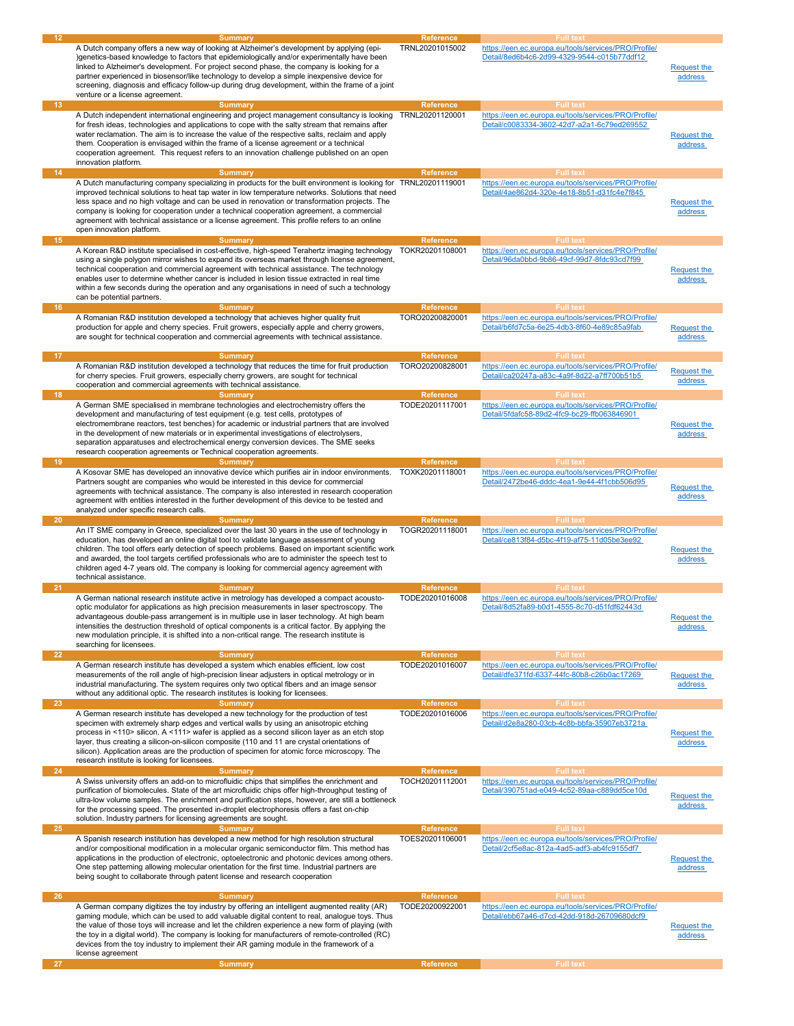| 12 <sub>2</sub>       | Summary<br>A Dutch company offers a new way of looking at Alzheimer's development by applying (epi-<br>)genetics-based knowledge to factors that epidemiologically and/or experimentally have been<br>linked to Alzheimer's development. For project second phase, the company is looking for a<br>partner experienced in biosensor/like technology to develop a simple inexpensive device for<br>screening, diagnosis and efficacy follow-up during drug development, within the frame of a joint<br>venture or a license agreement.                         | <b>Reference</b><br>TRNL20201015002                     | <b>Full text</b><br>https://een.ec.europa.eu/tools/services/PRO/Profile/<br>Detail/8ed6b4c6-2d99-4329-9544-c015b77ddf12                     | <b>Request the</b><br>address        |
|-----------------------|---------------------------------------------------------------------------------------------------------------------------------------------------------------------------------------------------------------------------------------------------------------------------------------------------------------------------------------------------------------------------------------------------------------------------------------------------------------------------------------------------------------------------------------------------------------|---------------------------------------------------------|---------------------------------------------------------------------------------------------------------------------------------------------|--------------------------------------|
| 13 <sup>2</sup><br>14 | <b>Summary</b><br>A Dutch independent international engineering and project management consultancy is looking<br>for fresh ideas, technologies and applications to cope with the salty stream that remains after<br>water reclamation. The aim is to increase the value of the respective salts, reclaim and apply<br>them. Cooperation is envisaged within the frame of a license agreement or a technical<br>cooperation agreement. This request refers to an innovation challenge published on an open<br>innovation platform.<br><b>Summary</b>           | <b>Reference</b><br>TRNL20201120001<br><b>Reference</b> | <b>Full text</b><br>https://een.ec.europa.eu/tools/services/PRO/Profile/<br>Detail/c0083334-3602-42d7-a2a1-6c79ed269552<br><b>Full text</b> | <b>Request the</b><br>address        |
|                       |                                                                                                                                                                                                                                                                                                                                                                                                                                                                                                                                                               |                                                         |                                                                                                                                             |                                      |
| 15 <sub>1</sub>       | A Dutch manufacturing company specializing in products for the built environment is looking for TRNL20201119001<br>improved technical solutions to heat tap water in low temperature networks. Solutions that need<br>less space and no high voltage and can be used in renovation or transformation projects. The<br>company is looking for cooperation under a technical cooperation agreement, a commercial<br>agreement with technical assistance or a license agreement. This profile refers to an online<br>open innovation platform.<br><b>Summary</b> | <b>Reference</b>                                        | https://een.ec.europa.eu/tools/services/PRO/Profile/<br>Detail/4ae862d4-320e-4e18-8b51-d31fc4e7f845<br><b>Full text</b>                     | <b>Request the</b><br>address        |
| 16                    | A Korean R&D institute specialised in cost-effective, high-speed Terahertz imaging technology<br>using a single polygon mirror wishes to expand its overseas market through license agreement,<br>technical cooperation and commercial agreement with technical assistance. The technology<br>enables user to determine whether cancer is included in lesion tissue extracted in real time<br>within a few seconds during the operation and any organisations in need of such a technology<br>can be potential partners.<br><b>Summary</b>                    | TOKR20201108001<br><b>Reference</b>                     | https://een.ec.europa.eu/tools/services/PRO/Profile/<br>Detail/96da0bbd-9b86-49cf-99d7-8fdc93cd7f99<br><b>Full text</b>                     | <b>Request the</b><br>address        |
|                       | A Romanian R&D institution developed a technology that achieves higher quality fruit                                                                                                                                                                                                                                                                                                                                                                                                                                                                          |                                                         |                                                                                                                                             |                                      |
| 17                    | production for apple and cherry species. Fruit growers, especially apple and cherry growers,<br>are sought for technical cooperation and commercial agreements with technical assistance.<br><b>Summary</b>                                                                                                                                                                                                                                                                                                                                                   | TORO20200820001<br><b>Reference</b>                     | https://een.ec.europa.eu/tools/services/PRO/Profile/<br>Detail/b6fd7c5a-6e25-4db3-8f60-4e89c85a9fab<br><b>Full text</b>                     | <b>Request the</b><br>address        |
|                       |                                                                                                                                                                                                                                                                                                                                                                                                                                                                                                                                                               | TORO20200828001                                         | https://een.ec.europa.eu/tools/services/PRO/Profile/                                                                                        |                                      |
| 18                    | A Romanian R&D institution developed a technology that reduces the time for fruit production<br>for cherry species. Fruit growers, especially cherry growers, are sought for technical<br>cooperation and commercial agreements with technical assistance.<br>Summary                                                                                                                                                                                                                                                                                         | <b>Reference</b>                                        | Detail/ca20247a-a83c-4a9f-8d22-a7ff700b51b5<br><b>Full text</b>                                                                             | <b>Request the</b><br>address        |
|                       | A German SME specialised in membrane technologies and electrochemistry offers the<br>development and manufacturing of test equipment (e.g. test cells, prototypes of<br>electromembrane reactors, test benches) for academic or industrial partners that are involved<br>in the development of new materials or in experimental investigations of electrolysers,<br>separation apparatuses and electrochemical energy conversion devices. The SME seeks<br>research cooperation agreements or Technical cooperation agreements.                               | TODE20201117001                                         | https://een.ec.europa.eu/tools/services/PRO/Profile/<br>Detail/5fdafc58-89d2-4fc9-bc29-ffb063846901                                         | <b>Request the</b><br>address        |
| 19                    | <b>Summary</b><br>A Kosovar SME has developed an innovative device which purifies air in indoor environments.<br>Partners sought are companies who would be interested in this device for commercial<br>agreements with technical assistance. The company is also interested in research cooperation<br>agreement with entities interested in the further development of this device to be tested and                                                                                                                                                         | <b>Reference</b><br>TOXK20201118001                     | <b>Full text</b><br>https://een.ec.europa.eu/tools/services/PRO/Profile/<br>Detail/2472be46-dddc-4ea1-9e44-4f1cbb506d95                     | <b>Request the</b><br>address        |
|                       | analyzed under specific research calls.                                                                                                                                                                                                                                                                                                                                                                                                                                                                                                                       |                                                         |                                                                                                                                             |                                      |
| 20 <sub>2</sub>       | <b>Summary</b><br>An IT SME company in Greece, specialized over the last 30 years in the use of technology in<br>education, has developed an online digital tool to validate language assessment of young<br>children. The tool offers early detection of speech problems. Based on important scientific work<br>and awarded, the tool targets certified professionals who are to administer the speech test to                                                                                                                                               | Reference<br>TOGR20201118001                            | <b>Full text</b><br>https://een.ec.europa.eu/tools/services/PRO/Profile/<br>Detail/ce813f84-d5bc-4f19-af75-11d05be3ee92                     | Request the<br>address               |
|                       | children aged 4-7 years old. The company is looking for commercial agency agreement with<br>technical assistance.                                                                                                                                                                                                                                                                                                                                                                                                                                             |                                                         |                                                                                                                                             |                                      |
|                       |                                                                                                                                                                                                                                                                                                                                                                                                                                                                                                                                                               |                                                         |                                                                                                                                             |                                      |
| 21                    | <b>Summary</b><br>A German national research institute active in metrology has developed a compact acousto-<br>optic modulator for applications as high precision measurements in laser spectroscopy. The<br>advantageous double-pass arrangement is in multiple use in laser technology. At high beam<br>intensities the destruction threshold of optical components is a critical factor. By applying the<br>new modulation principle, it is shifted into a non-critical range. The research institute is<br>searching for licensees.                       | <b>Reference</b><br>TODE20201016008                     | <b>Full text</b><br>https://een.ec.europa.eu/tools/services/PRO/Profile/<br>Detail/8d52fa89-b0d1-4555-8c70-d51fdf62443d                     | <u>Request the</u><br>address        |
| 22                    | <b>Summary</b>                                                                                                                                                                                                                                                                                                                                                                                                                                                                                                                                                | Reference                                               | <b>Full text</b>                                                                                                                            |                                      |
|                       | A German research institute has developed a system which enables efficient, low cost<br>measurements of the roll angle of high-precision linear adjusters in optical metrology or in<br>industrial manufacturing. The system requires only two optical fibers and an image sensor<br>without any additional optic. The research institutes is looking for licensees.                                                                                                                                                                                          | TODE20201016007                                         | https://een.ec.europa.eu/tools/services/PRO/Profile/<br>Detail/dfe371fd-6337-44fc-80b8-c26b0ac17269                                         | <b>Request the</b><br>address        |
| 23                    | Summary<br>A German research institute has developed a new technology for the production of test<br>specimen with extremely sharp edges and vertical walls by using an anisotropic etching<br>process in <110> silicon. A <111> wafer is applied as a second silicon layer as an etch stop<br>layer, thus creating a silicon-on-silicon composite (110 and 11 are crystal orientations of<br>silicon). Application areas are the production of specimen for atomic force microscopy. The<br>research institute is looking for licensees.                      | <b>Reference</b><br>TODE20201016006                     | <b>Full text</b><br>https://een.ec.europa.eu/tools/services/PRO/Profile/<br>Detail/d2e8a280-03cb-4c8b-bbfa-35907eb3721a                     | <b>Request the</b><br><b>address</b> |
| 24                    | <b>Summary</b>                                                                                                                                                                                                                                                                                                                                                                                                                                                                                                                                                | Reference                                               | <b>Full text</b>                                                                                                                            |                                      |
|                       | A Swiss university offers an add-on to microfluidic chips that simplifies the enrichment and<br>purification of biomolecules. State of the art microfluidic chips offer high-throughput testing of<br>ultra-low volume samples. The enrichment and purification steps, however, are still a bottleneck<br>for the processing speed. The presented in-droplet electrophoresis offers a fast on-chip<br>solution. Industry partners for licensing agreements are sought.                                                                                        | TOCH20201112001                                         | https://een.ec.europa.eu/tools/services/PRO/Profile/<br>Detail/390751ad-e049-4c52-89aa-c889dd5ce10d                                         | <b>Request the</b><br>address        |
| 25                    | <b>Summary</b><br>A Spanish research institution has developed a new method for high resolution structural<br>and/or compositional modification in a molecular organic semiconductor film. This method has<br>applications in the production of electronic, optoelectronic and photonic devices among others.<br>One step patterning allowing molecular orientation for the first time. Industrial partners are<br>being sought to collaborate through patent license and research cooperation                                                                | Reference<br>TOES20201106001                            | <b>Full text</b><br>https://een.ec.europa.eu/tools/services/PRO/Profile/<br>Detail/2cf5e8ac-812a-4ad5-adf3-ab4fc9155df7                     | <b>Request the</b><br>address        |
| 26                    | <b>Summary</b><br>A German company digitizes the toy industry by offering an intelligent augmented reality (AR)<br>gaming module, which can be used to add valuable digital content to real, analogue toys. Thus<br>the value of those toys will increase and let the children experience a new form of playing (with<br>the toy in a digital world). The company is looking for manufacturers of remote-controlled (RC)<br>devices from the toy industry to implement their AR gaming module in the framework of a<br>license agreement                      | <b>Reference</b><br>TODE20200922001                     | <b>Full text</b><br>https://een.ec.europa.eu/tools/services/PRO/Profile/<br>Detail/ebb67a46-d7cd-42dd-918d-26709680dcf9                     | <b>Request the</b><br>address        |
| 27                    | <b>Summary</b>                                                                                                                                                                                                                                                                                                                                                                                                                                                                                                                                                | <b>Reference</b>                                        | <b>Full text</b>                                                                                                                            |                                      |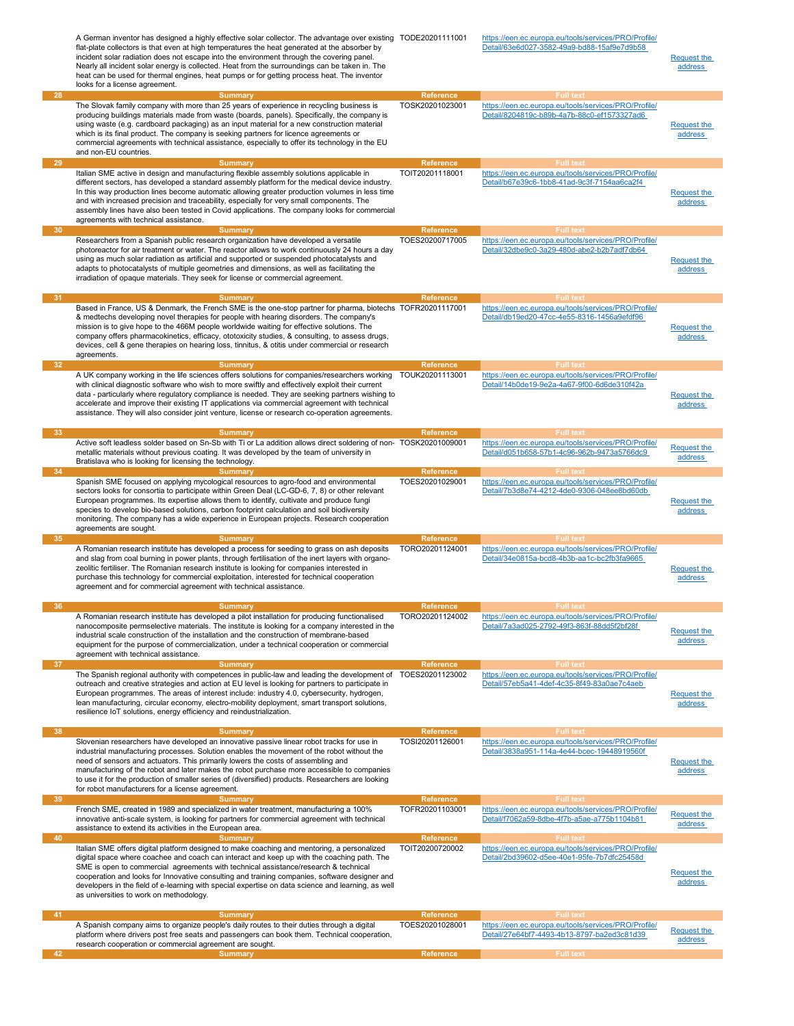|                 | A German inventor has designed a highly effective solar collector. The advantage over existing TODE20201111001<br>flat-plate collectors is that even at high temperatures the heat generated at the absorber by<br>incident solar radiation does not escape into the environment through the covering panel.<br>Nearly all incident solar energy is collected. Heat from the surroundings can be taken in. The<br>heat can be used for thermal engines, heat pumps or for getting process heat. The inventor<br>looks for a license agreement.      |                              | https://een.ec.europa.eu/tools/services/PRO/Profile/<br>Detail/63e6d027-3582-49a9-bd88-15af9e7d9b58                     | <b>Request the</b><br>address        |
|-----------------|-----------------------------------------------------------------------------------------------------------------------------------------------------------------------------------------------------------------------------------------------------------------------------------------------------------------------------------------------------------------------------------------------------------------------------------------------------------------------------------------------------------------------------------------------------|------------------------------|-------------------------------------------------------------------------------------------------------------------------|--------------------------------------|
| 28              | <b>Summary</b>                                                                                                                                                                                                                                                                                                                                                                                                                                                                                                                                      | Reference                    | <b>Full text</b>                                                                                                        |                                      |
|                 | The Slovak family company with more than 25 years of experience in recycling business is<br>producing buildings materials made from waste (boards, panels). Specifically, the company is<br>using waste (e.g. cardboard packaging) as an input material for a new construction material<br>which is its final product. The company is seeking partners for licence agreements or<br>commercial agreements with technical assistance, especially to offer its technology in the EU<br>and non-EU countries.                                          | TOSK20201023001              | https://een.ec.europa.eu/tools/services/PRO/Profile/<br>Detail/8204819c-b89b-4a7b-88c0-ef1573327ad6                     | <b>Request the</b><br>address        |
| 29              | <b>Summary</b><br>Italian SME active in design and manufacturing flexible assembly solutions applicable in<br>different sectors, has developed a standard assembly platform for the medical device industry.<br>In this way production lines become automatic allowing greater production volumes in less time<br>and with increased precision and traceability, especially for very small components. The<br>assembly lines have also been tested in Covid applications. The company looks for commercial<br>agreements with technical assistance. | Reference<br>TOIT20201118001 | <b>Full text</b><br>https://een.ec.europa.eu/tools/services/PRO/Profile/<br>Detail/b67e39c6-1bb8-41ad-9c3f-7154aa6ca2f4 | Request the<br>address               |
| 30              | Summary                                                                                                                                                                                                                                                                                                                                                                                                                                                                                                                                             | <b>Reference</b>             | <b>Full text</b>                                                                                                        |                                      |
|                 | Researchers from a Spanish public research organization have developed a versatile<br>photoreactor for air treatment or water. The reactor allows to work continuously 24 hours a day<br>using as much solar radiation as artificial and supported or suspended photocatalysts and<br>adapts to photocatalysts of multiple geometries and dimensions, as well as facilitating the<br>irradiation of opaque materials. They seek for license or commercial agreement.                                                                                | TOES20200717005              | https://een.ec.europa.eu/tools/services/PRO/Profile/<br>Detail/32dbe9c0-3a29-480d-abe2-b2b7adf7db64                     | <b>Request the</b><br><b>address</b> |
| 31              | <b>Summary</b>                                                                                                                                                                                                                                                                                                                                                                                                                                                                                                                                      | <b>Reference</b>             | <b>Full text</b>                                                                                                        |                                      |
|                 | Based in France, US & Denmark, the French SME is the one-stop partner for pharma, biotechs TOFR20201117001<br>& medtechs developing novel therapies for people with hearing disorders. The company's<br>mission is to give hope to the 466M people worldwide waiting for effective solutions. The<br>company offers pharmacokinetics, efficacy, ototoxicity studies, & consulting, to assess drugs,<br>devices, cell & gene therapies on hearing loss, tinnitus, & otitis under commercial or research<br>agreements.                               |                              | https://een.ec.europa.eu/tools/services/PRO/Profile/<br>Detail/db19ed20-47cc-4e55-8316-1456a9efdf96                     | <b>Request the</b><br>address        |
| 32 <sub>2</sub> | <b>Summary</b>                                                                                                                                                                                                                                                                                                                                                                                                                                                                                                                                      | <b>Reference</b>             | <b>Full text</b>                                                                                                        |                                      |
|                 | A UK company working in the life sciences offers solutions for companies/researchers working<br>with clinical diagnostic software who wish to more swiftly and effectively exploit their current<br>data - particularly where regulatory compliance is needed. They are seeking partners wishing to<br>accelerate and improve their existing IT applications via commercial agreement with technical<br>assistance. They will also consider joint venture, license or research co-operation agreements.                                             | TOUK20201113001              | https://een.ec.europa.eu/tools/services/PRO/Profile/<br>Detail/14b0de19-9e2a-4a67-9f00-6d6de310f42a                     | <b>Request the</b><br>address        |
| 33              | <b>Summary</b>                                                                                                                                                                                                                                                                                                                                                                                                                                                                                                                                      | <b>Reference</b>             | <b>Full text</b>                                                                                                        |                                      |
|                 | Active soft leadless solder based on Sn-Sb with Ti or La addition allows direct soldering of non- TOSK20201009001<br>metallic materials without previous coating. It was developed by the team of university in<br>Bratislava who is looking for licensing the technology.                                                                                                                                                                                                                                                                          |                              | https://een.ec.europa.eu/tools/services/PRO/Profile/<br>Detail/d051b658-57b1-4c96-962b-9473a5766dc9                     | <b>Request the</b><br>address        |
| 34              | <b>Summary</b>                                                                                                                                                                                                                                                                                                                                                                                                                                                                                                                                      | <b>Reference</b>             | <b>Full text</b>                                                                                                        |                                      |
|                 | Spanish SME focused on applying mycological resources to agro-food and environmental<br>sectors looks for consortia to participate within Green Deal (LC-GD-6, 7, 8) or other relevant<br>European programmes. Its expertise allows them to identify, cultivate and produce fungi<br>species to develop bio-based solutions, carbon footprint calculation and soil biodiversity<br>monitoring. The company has a wide experience in European projects. Research cooperation<br>agreements are sought.                                               | TOES20201029001              | https://een.ec.europa.eu/tools/services/PRO/Profile/<br>Detail/7b3d8e74-4212-4de0-9306-048ee8bd60db                     | <b>Request the</b><br>address        |
| 35              | <b>Summary</b>                                                                                                                                                                                                                                                                                                                                                                                                                                                                                                                                      | <b>Reference</b>             | <b>Full text</b>                                                                                                        |                                      |
|                 | A Romanian research institute has developed a process for seeding to grass on ash deposits<br>and slag from coal burning in power plants, through fertilisation of the inert layers with organo-<br>zeolitic fertiliser. The Romanian research institute is looking for companies interested in<br>purchase this technology for commercial exploitation, interested for technical cooperation<br>agreement and for commercial agreement with technical assistance.                                                                                  | TORO20201124001              | https://een.ec.europa.eu/tools/services/PRO/Profile/<br>Detail/34e0815a-bcd8-4b3b-aa1c-bc2fb3fa9665                     | Request the<br>address               |
| 36              | Summary                                                                                                                                                                                                                                                                                                                                                                                                                                                                                                                                             | <b>Reference</b>             | <b>Full text</b>                                                                                                        |                                      |
|                 | A Romanian research institute has developed a pilot installation for producing functionalised<br>nanocomposite permselective materials. The institute is looking for a company interested in the<br>industrial scale construction of the installation and the construction of membrane-based<br>equipment for the purpose of commercialization, under a technical cooperation or commercial<br>agreement with technical assistance.                                                                                                                 | TORO20201124002              | https://een.ec.europa.eu/tools/sep/ices/PRO/Profile/<br>Detail/7a3ad025-2792-49f3-863f-88dd5f2bf28f                     | <b>Request the</b><br>address        |
| -37             | <b>Summary</b>                                                                                                                                                                                                                                                                                                                                                                                                                                                                                                                                      | <b>Reference</b>             | <b>Full text</b>                                                                                                        |                                      |
|                 | The Spanish regional authority with competences in public-law and leading the development of<br>outreach and creative strategies and action at EU level is looking for partners to participate in<br>European programmes. The areas of interest include: industry 4.0, cybersecurity, hydrogen,<br>lean manufacturing, circular economy, electro-mobility deployment, smart transport solutions,<br>resilience IoT solutions, energy efficiency and reindustrialization.                                                                            | TOES20201123002              | https://een.ec.europa.eu/tools/services/PRO/Profile/<br>Detail/57eb5a41-4def-4c35-8f49-83a0ae7c4aeb                     | Request the<br>address               |
| 38              | <b>Summary</b>                                                                                                                                                                                                                                                                                                                                                                                                                                                                                                                                      | Reference                    | <b>Full text</b>                                                                                                        |                                      |
|                 | Slovenian researchers have developed an innovative passive linear robot tracks for use in<br>industrial manufacturing processes. Solution enables the movement of the robot without the<br>need of sensors and actuators. This primarily lowers the costs of assembling and<br>manufacturing of the robot and later makes the robot purchase more accessible to companies<br>to use it for the production of smaller series of (diversified) products. Researchers are looking<br>for robot manufacturers for a license agreement.                  | TOSI20201126001              | https://een.ec.europa.eu/tools/services/PRO/Profile/<br>Detail/3838a951-114a-4e44-bcec-19448919560f                     | Request the<br>address               |
| 39              | <b>Summary</b>                                                                                                                                                                                                                                                                                                                                                                                                                                                                                                                                      | Reference                    | <b>Full text</b>                                                                                                        |                                      |
|                 | French SME, created in 1989 and specialized in water treatment, manufacturing a 100%<br>innovative anti-scale system, is looking for partners for commercial agreement with technical<br>assistance to extend its activities in the European area.                                                                                                                                                                                                                                                                                                  | TOFR20201103001              | https://een.ec.europa.eu/tools/services/PRO/Profile/<br>Detail/f7062a59-8dbe-4f7b-a5ae-a775b1104b81                     | <b>Request the</b><br>address        |
| 40              | <b>Summary</b>                                                                                                                                                                                                                                                                                                                                                                                                                                                                                                                                      | Reference                    | <b>Full text</b>                                                                                                        |                                      |
|                 | Italian SME offers digital platform designed to make coaching and mentoring, a personalized<br>digital space where coachee and coach can interact and keep up with the coaching path. The<br>SME is open to commercial agreements with technical assistance/research & technical<br>cooperation and looks for Innovative consulting and training companies, software designer and<br>developers in the field of e-learning with special expertise on data science and learning, as well<br>as universities to work on methodology.                  | TOIT20200720002              | https://een.ec.europa.eu/tools/services/PRO/Profile/<br>Detail/2bd39602-d5ee-40e1-95fe-7b7dfc25458d                     | Request the<br>address               |
| 41              | <b>Summary</b>                                                                                                                                                                                                                                                                                                                                                                                                                                                                                                                                      | <b>Reference</b>             | <b>Full text</b>                                                                                                        |                                      |
|                 | A Spanish company aims to organize people's daily routes to their duties through a digital<br>platform where drivers post free seats and passengers can book them. Technical cooperation,<br>research cooperation or commercial agreement are sought.                                                                                                                                                                                                                                                                                               | TOES20201028001              | https://een.ec.europa.eu/tools/services/PRO/Profile/<br>Detail/27e64bf7-4493-4b13-8797-ba2ed3c81d39                     | Request the<br>address               |
| 42              | <b>Summary</b>                                                                                                                                                                                                                                                                                                                                                                                                                                                                                                                                      | Reference                    | <b>Full text</b>                                                                                                        |                                      |
|                 |                                                                                                                                                                                                                                                                                                                                                                                                                                                                                                                                                     |                              |                                                                                                                         |                                      |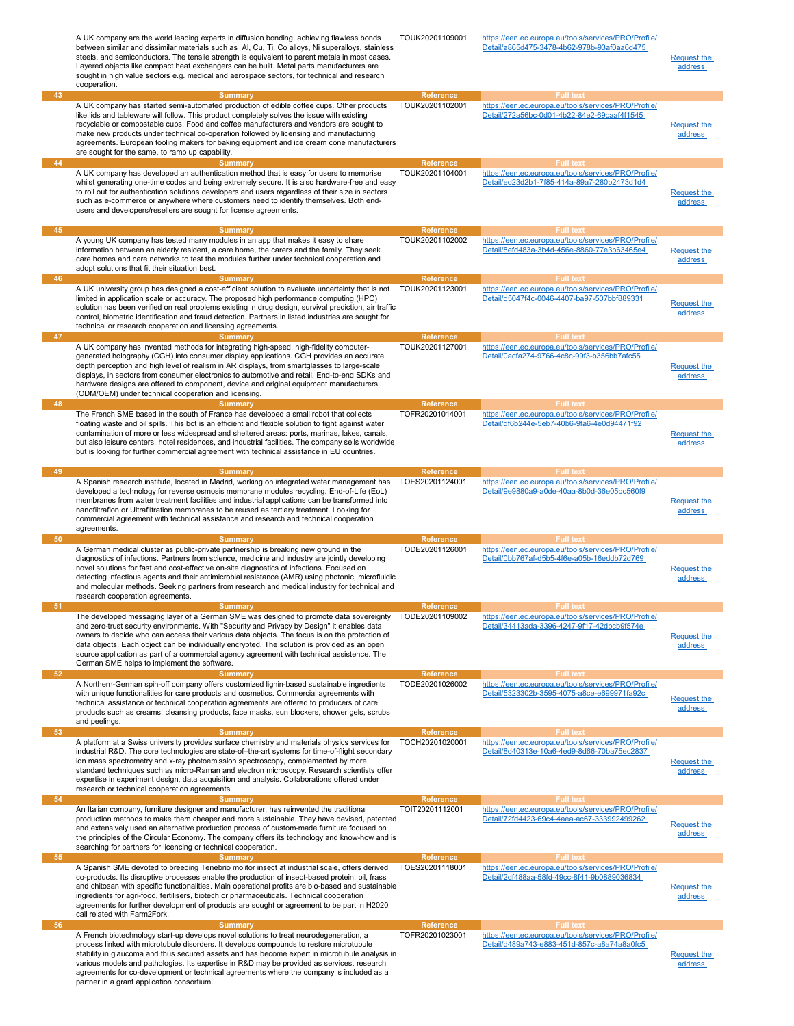|          | A UK company are the world leading experts in diffusion bonding, achieving flawless bonds<br>between similar and dissimilar materials such as Al, Cu, Ti, Co alloys, Ni superalloys, stainless<br>steels, and semiconductors. The tensile strength is equivalent to parent metals in most cases.<br>Layered objects like compact heat exchangers can be built. Metal parts manufacturers are<br>sought in high value sectors e.g. medical and aerospace sectors, for technical and research<br>cooperation.                                                      | TOUK20201109001                                         | https://een.ec.europa.eu/tools/services/PRO/Profile/<br>Detail/a865d475-3478-4b62-978b-93af0aa6d475                                         | <b>Request the</b><br>address        |
|----------|------------------------------------------------------------------------------------------------------------------------------------------------------------------------------------------------------------------------------------------------------------------------------------------------------------------------------------------------------------------------------------------------------------------------------------------------------------------------------------------------------------------------------------------------------------------|---------------------------------------------------------|---------------------------------------------------------------------------------------------------------------------------------------------|--------------------------------------|
| 43<br>44 | <b>Summary</b><br>A UK company has started semi-automated production of edible coffee cups. Other products<br>like lids and tableware will follow. This product completely solves the issue with existing<br>recyclable or compostable cups. Food and coffee manufacturers and vendors are sought to<br>make new products under technical co-operation followed by licensing and manufacturing<br>agreements. European tooling makers for baking equipment and ice cream cone manufacturers<br>are sought for the same, to ramp up capability.<br><b>Summary</b> | Reference<br>TOUK20201102001<br>Reference               | <b>Full text</b><br>https://een.ec.europa.eu/tools/services/PRO/Profile/<br>Detail/272a56bc-0d01-4b22-84e2-69caaf4f1545<br><b>Full text</b> | <b>Request the</b><br>address        |
|          | A UK company has developed an authentication method that is easy for users to memorise<br>whilst generating one-time codes and being extremely secure. It is also hardware-free and easy<br>to roll out for authentication solutions developers and users regardless of their size in sectors<br>such as e-commerce or anywhere where customers need to identify themselves. Both end-<br>users and developers/resellers are sought for license agreements.                                                                                                      | TOUK20201104001                                         | https://een.ec.europa.eu/tools/services/PRO/Profile/<br>Detail/ed23d2b1-7f85-414a-89a7-280b2473d1d4                                         | <b>Request the</b><br>address        |
| 45       | <b>Summary</b><br>A young UK company has tested many modules in an app that makes it easy to share<br>information between an elderly resident, a care home, the carers and the family. They seek<br>care homes and care networks to test the modules further under technical cooperation and<br>adopt solutions that fit their situation best.                                                                                                                                                                                                                   | <b>Reference</b><br>TOUK20201102002                     | <b>Full text</b><br>https://een.ec.europa.eu/tools/services/PRO/Profile/<br>Detail/8efd483a-3b4d-456e-8860-77e3b63465e4                     | <b>Request the</b><br>address        |
| 46       | <b>Summary</b><br>A UK university group has designed a cost-efficient solution to evaluate uncertainty that is not<br>limited in application scale or accuracy. The proposed high performance computing (HPC)<br>solution has been verified on real problems existing in drug design, survival prediction, air traffic<br>control, biometric identification and fraud detection. Partners in listed industries are sought for<br>technical or research cooperation and licensing agreements.                                                                     | Reference<br>TOUK20201123001                            | <b>Full text</b><br>https://een.ec.europa.eu/tools/services/PRO/Profile/<br>Detail/d5047f4c-0046-4407-ba97-507bbf889331                     | <b>Request the</b><br>address        |
| $-47$    | <b>Summary</b>                                                                                                                                                                                                                                                                                                                                                                                                                                                                                                                                                   | Reference                                               | <b>Full text</b>                                                                                                                            |                                      |
| 48       | A UK company has invented methods for integrating high-speed, high-fidelity computer-<br>generated holography (CGH) into consumer display applications. CGH provides an accurate<br>depth perception and high level of realism in AR displays, from smartglasses to large-scale<br>displays, in sectors from consumer electronics to automotive and retail. End-to-end SDKs and<br>hardware designs are offered to component, device and original equipment manufacturers<br>(ODM/OEM) under technical cooperation and licensing.                                | TOUK20201127001<br>Reference                            | https://een.ec.europa.eu/tools/services/PRO/Profile/<br>Detail/0acfa274-9766-4c8c-99f3-b356bb7afc55<br><b>Full text</b>                     | <b>Request the</b><br><u>address</u> |
|          | <b>Summary</b><br>The French SME based in the south of France has developed a small robot that collects<br>floating waste and oil spills. This bot is an efficient and flexible solution to fight against water<br>contamination of more or less widespread and sheltered areas: ports, marinas, lakes, canals,<br>but also leisure centers, hotel residences, and industrial facilities. The company sells worldwide<br>but is looking for further commercial agreement with technical assistance in EU countries.                                              | TOFR20201014001                                         | https://een.ec.europa.eu/tools/services/PRO/Profile/<br>Detail/df6b244e-5eb7-40b6-9fa6-4e0d94471f92                                         | <b>Request the</b><br>address        |
| 49       | <b>Summary</b><br>A Spanish research institute, located in Madrid, working on integrated water management has<br>developed a technology for reverse osmosis membrane modules recycling. End-of-Life (EoL)<br>membranes from water treatment facilities and industrial applications can be transformed into<br>nanofiltrafion or Ultrafiltration membranes to be reused as tertiary treatment. Looking for<br>commercial agreement with technical assistance and research and technical cooperation<br>agreements.                                                | <b>Reference</b><br>TOES20201124001                     | <b>Full text</b><br>https://een.ec.europa.eu/tools/services/PRO/Profile/<br>Detail/9e9880a9-a0de-40aa-8b0d-36e05bc560f9                     | <b>Request the</b><br>address        |
| 50       | <b>Summary</b><br>A German medical cluster as public-private partnership is breaking new ground in the<br>diagnostics of infections. Partners from science, medicine and industry are jointly developing<br>novel solutions for fast and cost-effective on-site diagnostics of infections. Focused on<br>detecting infectious agents and their antimicrobial resistance (AMR) using photonic, microfluidic<br>and molecular methods. Seeking partners from research and medical industry for technical and<br>research cooperation agreements.                   | <b>Reference</b><br>TODE20201126001                     | <b>Full text</b><br>https://een.ec.europa.eu/tools/services/PRO/Profile/<br>Detail/0bb767af-d5b5-4f6e-a05b-16eddb72d769                     | Request the<br>address               |
| $-51$    | <b>Summary</b><br>The developed messaging layer of a German SME was designed to promote data sovereignty<br>and zero-trust security environments. With "Security and Privacy by Design" it enables data<br>owners to decide who can access their various data objects. The focus is on the protection of<br>data objects. Each object can be individually encrypted. The solution is provided as an open<br>source application as part of a commercial agency agreement with technical assistence. The<br>German SME helps to implement the software.            | <b>Reference</b><br>TODE20201109002                     | <b>Full text</b><br>https://een.ec.europa.eu/tools/services/PRO/Profile/<br>Detail/34413ada-3396-4247-9f17-42dbcb9f574e                     | <b>Request the</b><br>address        |
| 52       | <b>Summary</b><br>A Northern-German spin-off company offers customized lignin-based sustainable ingredients<br>with unique functionalities for care products and cosmetics. Commercial agreements with<br>technical assistance or technical cooperation agreements are offered to producers of care<br>products such as creams, cleansing products, face masks, sun blockers, shower gels, scrubs<br>and peelings.                                                                                                                                               | <b>Reference</b><br>TODE20201026002                     | <b>Full text</b><br>https://een.ec.europa.eu/tools/services/PRO/Profile/<br>Detail/5323302b-3595-4075-a8ce-e699971fa92c                     | <b>Request the</b><br>address        |
| 53       | <b>Summary</b><br>A platform at a Swiss university provides surface chemistry and materials physics services for<br>industrial R&D. The core technologies are state-of-the-art systems for time-of-flight secondary<br>ion mass spectrometry and x-ray photoemission spectroscopy, complemented by more<br>standard techniques such as micro-Raman and electron microscopy. Research scientists offer<br>expertise in experiment design, data acquisition and analysis. Collaborations offered under<br>research or technical cooperation agreements.            | <b>Reference</b><br>TOCH20201020001                     | <b>Full text</b><br>https://een.ec.europa.eu/tools/services/PRO/Profile/<br>Detail/8d40313e-10a6-4ed9-8d66-70ba75ec2837                     | <b>Request the</b><br>address        |
| 54<br>55 | <b>Summary</b><br>An Italian company, furniture designer and manufacturer, has reinvented the traditional<br>production methods to make them cheaper and more sustainable. They have devised, patented<br>and extensively used an alternative production process of custom-made furniture focused on<br>the principles of the Circular Economy. The company offers its technology and know-how and is<br>searching for partners for licencing or technical cooperation.<br><b>Summary</b>                                                                        | <b>Reference</b><br>TOIT20201112001<br><b>Reference</b> | <b>Full text</b><br>https://een.ec.europa.eu/tools/services/PRO/Profile/<br>Detail/72fd4423-69c4-4aea-ac67-333992499262<br><b>Full text</b> | <b>Request the</b><br>address        |
|          | A Spanish SME devoted to breeding Tenebrio molitor insect at industrial scale, offers derived<br>co-products. Its disruptive processes enable the production of insect-based protein, oil, frass<br>and chitosan with specific functionalities. Main operational profits are bio-based and sustainable<br>ingredients for agri-food, fertilisers, biotech or pharmaceuticals. Technical cooperation<br>agreements for further development of products are sought or agreement to be part in H2020<br>call related with Farm2Fork.                                | TOES20201118001                                         | https://een.ec.europa.eu/tools/services/PRO/Profile/<br>Detail/2df488aa-58fd-49cc-8f41-9b0889036834                                         | <b>Request the</b><br>address        |
| 56       | <b>Summary</b><br>A French biotechnology start-up develops novel solutions to treat neurodegeneration, a<br>process linked with microtubule disorders. It develops compounds to restore microtubule<br>stability in glaucoma and thus secured assets and has become expert in microtubule analysis in<br>various models and pathologies. Its expertise in R&D may be provided as services, research<br>agreements for co-development or technical agreements where the company is included as a<br>partner in a grant application consortium.                    | Reference<br>TOFR20201023001                            | <b>Full text</b><br>https://een.ec.europa.eu/tools/services/PRO/Profile/<br>Detail/d489a743-e883-451d-857c-a8a74a8a0fc5                     | <b>Request the</b><br>address        |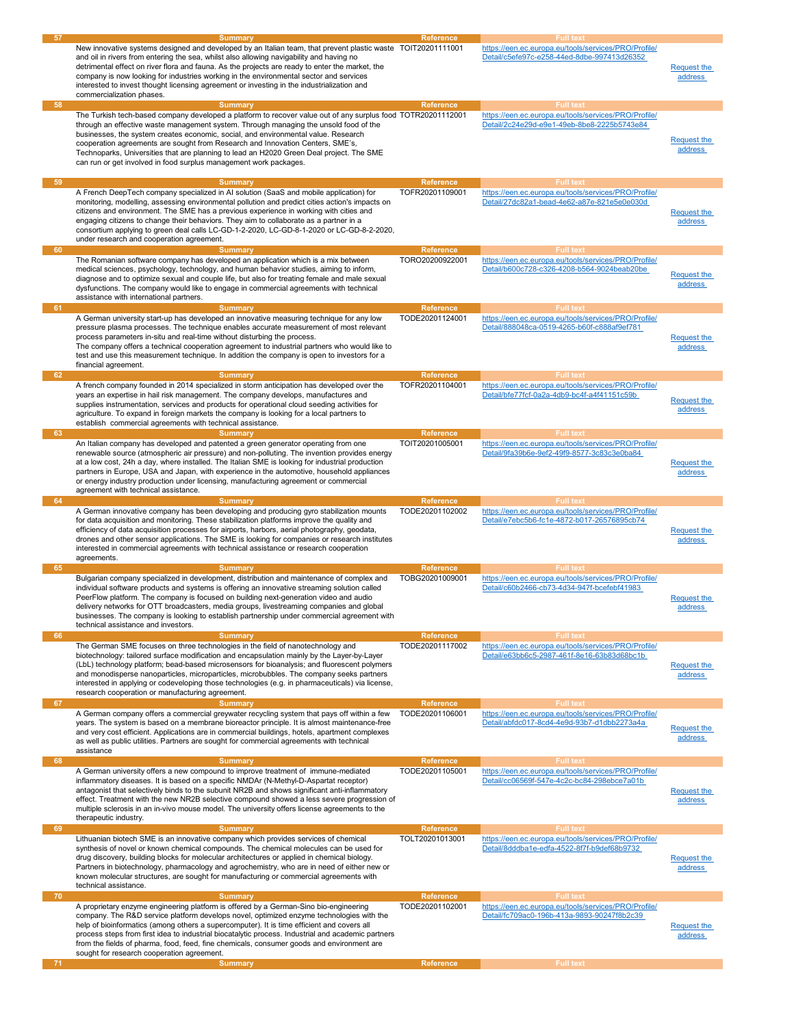| 57<br>58 | <b>Summary</b><br>New innovative systems designed and developed by an Italian team, that prevent plastic waste TOIT20201111001<br>and oil in rivers from entering the sea, whilst also allowing navigability and having no<br>detrimental effect on river flora and fauna. As the projects are ready to enter the market, the<br>company is now looking for industries working in the environmental sector and services<br>interested to invest thought licensing agreement or investing in the industrialization and<br>commercialization phases.<br><b>Summary</b>   | <b>Reference</b><br>Reference                           | <b>Full text</b><br>https://een.ec.europa.eu/tools/services/PRO/Profile/<br>Detail/c5efe97c-e258-44ed-8dbe-997413d26352<br><b>Full text</b> | <b>Request the</b><br><b>address</b> |
|----------|------------------------------------------------------------------------------------------------------------------------------------------------------------------------------------------------------------------------------------------------------------------------------------------------------------------------------------------------------------------------------------------------------------------------------------------------------------------------------------------------------------------------------------------------------------------------|---------------------------------------------------------|---------------------------------------------------------------------------------------------------------------------------------------------|--------------------------------------|
|          | The Turkish tech-based company developed a platform to recover value out of any surplus food TOTR20201112001<br>through an effective waste management system. Through managing the unsold food of the<br>businesses, the system creates economic, social, and environmental value. Research<br>cooperation agreements are sought from Research and Innovation Centers, SME's,<br>Technoparks, Universities that are planning to lead an H2020 Green Deal project. The SME<br>can run or get involved in food surplus management work packages.                         |                                                         | https://een.ec.europa.eu/tools/services/PRO/Profile/<br>Detail/2c24e29d-e9e1-49eb-8be8-2225b5743e84                                         | <b>Request the</b><br>address        |
| 59       | <b>Summary</b><br>A French DeepTech company specialized in AI solution (SaaS and mobile application) for<br>monitoring, modelling, assessing environmental pollution and predict cities action's impacts on<br>citizens and environment. The SME has a previous experience in working with cities and<br>engaging citizens to change their behaviors. They aim to collaborate as a partner in a<br>consortium applying to green deal calls LC-GD-1-2-2020, LC-GD-8-1-2020 or LC-GD-8-2-2020,<br>under research and cooperation agreement.                              | <b>Reference</b><br>TOFR20201109001                     | <b>Full text</b><br>https://een.ec.europa.eu/tools/services/PRO/Profile/<br>Detail/27dc82a1-bead-4e62-a87e-821e5e0e030d                     | <b>Request the</b><br>address        |
| 60<br>61 | <b>Summary</b><br>The Romanian software company has developed an application which is a mix between<br>medical sciences, psychology, technology, and human behavior studies, aiming to inform,<br>diagnose and to optimize sexual and couple life, but also for treating female and male sexual<br>dysfunctions. The company would like to engage in commercial agreements with technical<br>assistance with international partners.<br><b>Summary</b>                                                                                                                 | <b>Reference</b><br>TORO20200922001<br><b>Reference</b> | <b>Full text</b><br>https://een.ec.europa.eu/tools/services/PRO/Profile/<br>Detail/b600c728-c326-4208-b564-9024beab20be<br><b>Full text</b> | <b>Request the</b><br>address        |
|          | A German university start-up has developed an innovative measuring technique for any low<br>pressure plasma processes. The technique enables accurate measurement of most relevant<br>process parameters in-situ and real-time without disturbing the process.<br>The company offers a technical cooperation agreement to industrial partners who would like to<br>test and use this measurement technique. In addition the company is open to investors for a<br>financial agreement.                                                                                 | TODE20201124001                                         | https://een.ec.europa.eu/tools/services/PRO/Profile/<br>Detail/888048ca-0519-4265-b60f-c888af9ef781                                         | <b>Request the</b><br>address        |
| 62       | <b>Summary</b><br>A french company founded in 2014 specialized in storm anticipation has developed over the<br>years an expertise in hail risk management. The company develops, manufactures and<br>supplies instrumentation, services and products for operational cloud seeding activities for<br>agriculture. To expand in foreign markets the company is looking for a local partners to<br>establish commercial agreements with technical assistance.                                                                                                            | <b>Reference</b><br>TOFR20201104001                     | <b>Full text</b><br>https://een.ec.europa.eu/tools/services/PRO/Profile/<br>Detail/bfe77fcf-0a2a-4db9-bc4f-a4f41151c59b                     | <b>Request the</b><br>address        |
| 63<br>64 | <b>Summary</b><br>An Italian company has developed and patented a green generator operating from one<br>renewable source (atmospheric air pressure) and non-polluting. The invention provides energy<br>at a low cost, 24h a day, where installed. The Italian SME is looking for industrial production<br>partners in Europe, USA and Japan, with experience in the automotive, household appliances<br>or energy industry production under licensing, manufacturing agreement or commercial<br>agreement with technical assistance.                                  | <b>Reference</b><br>TOIT20201005001<br><b>Reference</b> | <b>Full text</b><br>https://een.ec.europa.eu/tools/services/PRO/Profile/<br>Detail/9fa39b6e-9ef2-49f9-8577-3c83c3e0ba84<br><b>Full text</b> | <b>Request the</b><br>address        |
|          | <b>Summary</b><br>A German innovative company has been developing and producing gyro stabilization mounts<br>for data acquisition and monitoring. These stabilization platforms improve the quality and<br>efficiency of data acquisition processes for airports, harbors, aerial photography, geodata,<br>drones and other sensor applications. The SME is looking for companies or research institutes<br>interested in commercial agreements with technical assistance or research cooperation<br>agreements.                                                       | TODE20201102002                                         | https://een.ec.europa.eu/tools/services/PRO/Profile/<br>Detail/e7ebc5b6-fc1e-4872-b017-26576895cb74                                         | <b>Request the</b><br>address        |
| 65       | <b>Summary</b><br>Bulgarian company specialized in development, distribution and maintenance of complex and<br>individual software products and systems is offering an innovative streaming solution called<br>PeerFlow platform. The company is focused on building next-generation video and audio<br>delivery networks for OTT broadcasters, media groups, livestreaming companies and global<br>businesses. The company is looking to establish partnership under commercial agreement with<br>technical assistance and investors.                                 | <b>Reference</b><br>TOBG20201009001                     | <b>Full text</b><br>https://een.ec.europa.eu/tools/services/PRO/Profile/<br>Detail/c60b2466-cb73-4d34-947f-bcefebf41983                     | <b>Request the</b><br>address        |
| 66<br>67 | <b>Summary</b><br>The German SME focuses on three technologies in the field of nanotechnology and<br>biotechnology: tailored surface modification and encapsulation mainly by the Layer-by-Layer<br>(LbL) technology platform; bead-based microsensors for bioanalysis; and fluorescent polymers<br>and monodisperse nanoparticles, microparticles, microbubbles. The company seeks partners<br>interested in applying or codeveloping those technologies (e.g. in pharmaceuticals) via license,<br>research cooperation or manufacturing agreement.<br><b>Summary</b> | <b>Reference</b><br>TODE20201117002<br><b>Reference</b> | <b>Full text</b><br>https://een.ec.europa.eu/tools/services/PRO/Profile/<br>Detail/e63bb6c5-2987-461f-8e16-63b83d68bc1b<br><b>Full text</b> | <b>Request the</b><br>address        |
|          | A German company offers a commercial greywater recycling system that pays off within a few<br>years. The system is based on a membrane bioreactor principle. It is almost maintenance-free<br>and very cost efficient. Applications are in commercial buildings, hotels, apartment complexes<br>as well as public utilities. Partners are sought for commercial agreements with technical<br>assistance                                                                                                                                                                | TODE20201106001                                         | https://een.ec.europa.eu/tools/services/PRO/Profile/<br>Detail/abfdc017-8cd4-4e9d-93b7-d1dbb2273a4a                                         | <b>Request the</b><br><b>address</b> |
| 68       | <b>Summary</b><br>A German university offers a new compound to improve treatment of immune-mediated<br>inflammatory diseases. It is based on a specific NMDAr (N-Methyl-D-Aspartat receptor)<br>antagonist that selectively binds to the subunit NR2B and shows significant anti-inflammatory<br>effect. Treatment with the new NR2B selective compound showed a less severe progression of<br>multiple sclerosis in an in-vivo mouse model. The university offers license agreements to the<br>therapeutic industry.                                                  | <b>Reference</b><br>TODE20201105001                     | <b>Full text</b><br>https://een.ec.europa.eu/tools/services/PRO/Profile/<br>Detail/cc06569f-547e-4c2c-bc84-298ebce7a01b                     | <b>Request the</b><br>address        |
| 69       | <b>Summary</b><br>Lithuanian biotech SME is an innovative company which provides services of chemical<br>synthesis of novel or known chemical compounds. The chemical molecules can be used for<br>drug discovery, building blocks for molecular architectures or applied in chemical biology.<br>Partners in biotechnology, pharmacology and agrochemistry, who are in need of either new or<br>known molecular structures, are sought for manufacturing or commercial agreements with<br>technical assistance.                                                       | Reference<br>TOLT20201013001                            | <b>Full text</b><br>https://een.ec.europa.eu/tools/services/PRO/Profile/<br>Detail/8dddba1e-edfa-4522-8f7f-b9def68b9732                     | <b>Request the</b><br>address        |
| 70       | <b>Summary</b><br>A proprietary enzyme engineering platform is offered by a German-Sino bio-engineering<br>company. The R&D service platform develops novel, optimized enzyme technologies with the<br>help of bioinformatics (among others a supercomputer). It is time efficient and covers all<br>process steps from first idea to industrial biocatalytic process. Industrial and academic partners<br>from the fields of pharma, food, feed, fine chemicals, consumer goods and environment are<br>sought for research cooperation agreement.                     | <b>Reference</b><br>TODE20201102001                     | Full text<br>https://een.ec.europa.eu/tools/services/PRO/Profile/<br>Detail/fc709ac0-196b-413a-9893-90247f8b2c39                            | <b>Request the</b><br>address        |
| 71       | <b>Summary</b>                                                                                                                                                                                                                                                                                                                                                                                                                                                                                                                                                         | Reference                                               | <b>Full text</b>                                                                                                                            |                                      |